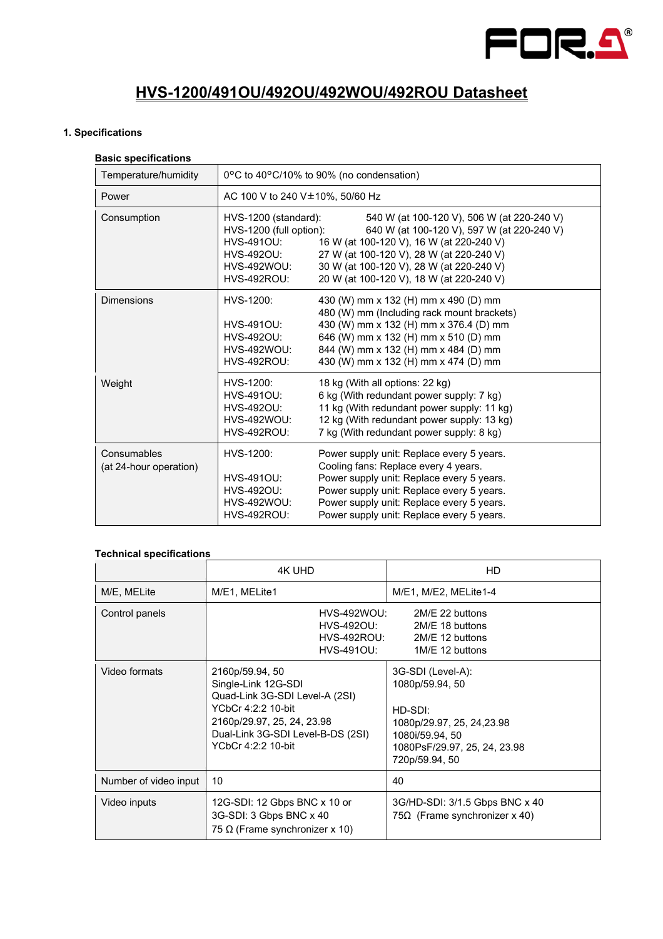

# **HVS-1200/491OU/492OU/492WOU/492ROU Datasheet**

# **1. Specifications**

# **Basic specifications**

| Temperature/humidity                  | 0°C to 40°C/10% to 90% (no condensation)                                                                                                                                                                                                                                                                                                                                              |  |
|---------------------------------------|---------------------------------------------------------------------------------------------------------------------------------------------------------------------------------------------------------------------------------------------------------------------------------------------------------------------------------------------------------------------------------------|--|
| Power                                 | AC 100 V to 240 V±10%, 50/60 Hz                                                                                                                                                                                                                                                                                                                                                       |  |
| Consumption                           | HVS-1200 (standard):<br>540 W (at 100-120 V), 506 W (at 220-240 V)<br>HVS-1200 (full option):<br>640 W (at 100-120 V), 597 W (at 220-240 V)<br>16 W (at 100-120 V), 16 W (at 220-240 V)<br>HVS-491OU:<br>27 W (at 100-120 V), 28 W (at 220-240 V)<br>HVS-492OU:<br>30 W (at 100-120 V), 28 W (at 220-240 V)<br>HVS-492WOU:<br>20 W (at 100-120 V), 18 W (at 220-240 V)<br>HVS-492ROU: |  |
| <b>Dimensions</b>                     | HVS-1200:<br>430 (W) mm x 132 (H) mm x 490 (D) mm<br>480 (W) mm (Including rack mount brackets)<br>430 (W) mm x 132 (H) mm x 376.4 (D) mm<br>HVS-491OU:<br>HVS-4920U:<br>646 (W) mm x 132 (H) mm x 510 (D) mm<br>844 (W) mm x 132 (H) mm x 484 (D) mm<br><b>HVS-492WOU:</b><br><b>HVS-492ROU:</b><br>430 (W) mm x 132 (H) mm x 474 (D) mm                                             |  |
| Weight                                | HVS-1200:<br>18 kg (With all options: 22 kg)<br>6 kg (With redundant power supply: 7 kg)<br>HVS-491OU:<br>11 kg (With redundant power supply: 11 kg)<br><b>HVS-492OU:</b><br><b>HVS-492WOU:</b><br>12 kg (With redundant power supply: 13 kg)<br>7 kg (With redundant power supply: 8 kg)<br><b>HVS-492ROU:</b>                                                                       |  |
| Consumables<br>(at 24-hour operation) | HVS-1200:<br>Power supply unit: Replace every 5 years.<br>Cooling fans: Replace every 4 years.<br><b>HVS-491OU:</b><br>Power supply unit: Replace every 5 years.<br>Power supply unit: Replace every 5 years.<br>HVS-492OU:<br><b>HVS-492WOU:</b><br>Power supply unit: Replace every 5 years.<br><b>HVS-492ROU:</b><br>Power supply unit: Replace every 5 years.                     |  |

#### **Technical specifications**

|                       | 4K UHD                                                                                                                                                                                  | HD                                                                                                                                                 |  |
|-----------------------|-----------------------------------------------------------------------------------------------------------------------------------------------------------------------------------------|----------------------------------------------------------------------------------------------------------------------------------------------------|--|
| M/E, MELite           | M/E1, MELite1                                                                                                                                                                           | M/E1, M/E2, MELite1-4                                                                                                                              |  |
| Control panels        | <b>HVS-492WOU:</b><br>2M/E 22 buttons<br>HVS-492OU:<br>2M/E 18 buttons<br>HVS-492ROU:<br>2M/E 12 buttons<br>HVS-491OU:<br>1M/E 12 buttons                                               |                                                                                                                                                    |  |
| Video formats         | 2160p/59.94, 50<br>Single-Link 12G-SDI<br>Quad-Link 3G-SDI Level-A (2SI)<br>YCbCr 4:2:2 10-bit<br>2160p/29.97, 25, 24, 23.98<br>Dual-Link 3G-SDI Level-B-DS (2SI)<br>YCbCr 4:2:2 10-bit | 3G-SDI (Level-A):<br>1080p/59.94, 50<br>HD-SDI:<br>1080p/29.97, 25, 24, 23.98<br>1080i/59.94, 50<br>1080PsF/29.97, 25, 24, 23.98<br>720p/59.94, 50 |  |
| Number of video input | 10                                                                                                                                                                                      | 40                                                                                                                                                 |  |
| Video inputs          | 12G-SDI: 12 Gbps BNC x 10 or<br>3G-SDI: 3 Gbps BNC x 40<br>75 $\Omega$ (Frame synchronizer x 10)                                                                                        | 3G/HD-SDI: 3/1.5 Gbps BNC x 40<br>75 $\Omega$ (Frame synchronizer x 40)                                                                            |  |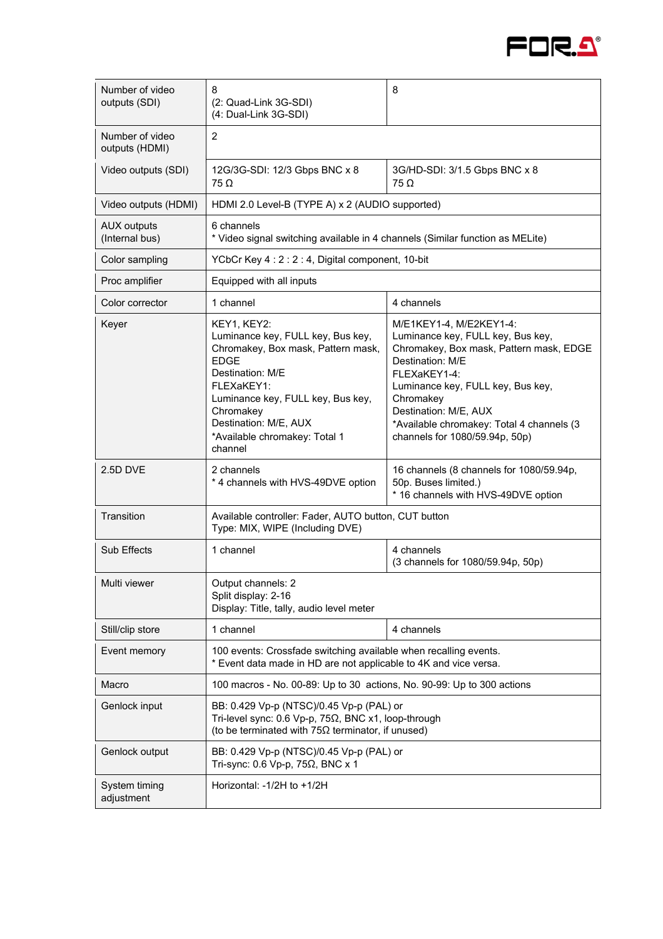

| Number of video<br>outputs (SDI)     | 8<br>(2: Quad-Link 3G-SDI)<br>(4: Dual-Link 3G-SDI)                                                                                                                                                                                                            | 8                                                                                                                                                                                                                                                                                                     |  |
|--------------------------------------|----------------------------------------------------------------------------------------------------------------------------------------------------------------------------------------------------------------------------------------------------------------|-------------------------------------------------------------------------------------------------------------------------------------------------------------------------------------------------------------------------------------------------------------------------------------------------------|--|
| Number of video<br>outputs (HDMI)    | $\overline{2}$                                                                                                                                                                                                                                                 |                                                                                                                                                                                                                                                                                                       |  |
| Video outputs (SDI)                  | 12G/3G-SDI: 12/3 Gbps BNC x 8<br>$75 \Omega$                                                                                                                                                                                                                   | 3G/HD-SDI: 3/1.5 Gbps BNC x 8<br>$75 \Omega$                                                                                                                                                                                                                                                          |  |
| Video outputs (HDMI)                 | HDMI 2.0 Level-B (TYPE A) x 2 (AUDIO supported)                                                                                                                                                                                                                |                                                                                                                                                                                                                                                                                                       |  |
| <b>AUX outputs</b><br>(Internal bus) | 6 channels<br>* Video signal switching available in 4 channels (Similar function as MELite)                                                                                                                                                                    |                                                                                                                                                                                                                                                                                                       |  |
| Color sampling                       |                                                                                                                                                                                                                                                                | YCbCr Key 4: 2: 2: 4, Digital component, 10-bit                                                                                                                                                                                                                                                       |  |
| Proc amplifier                       | Equipped with all inputs                                                                                                                                                                                                                                       |                                                                                                                                                                                                                                                                                                       |  |
| Color corrector                      | 1 channel                                                                                                                                                                                                                                                      | 4 channels                                                                                                                                                                                                                                                                                            |  |
| Keyer                                | KEY1, KEY2:<br>Luminance key, FULL key, Bus key,<br>Chromakey, Box mask, Pattern mask,<br><b>EDGE</b><br>Destination: M/F<br>FLEXaKEY1:<br>Luminance key, FULL key, Bus key,<br>Chromakey<br>Destination: M/E, AUX<br>*Available chromakey: Total 1<br>channel | M/E1KEY1-4, M/E2KEY1-4:<br>Luminance key, FULL key, Bus key,<br>Chromakey, Box mask, Pattern mask, EDGE<br>Destination: M/E<br>FLEXaKEY1-4:<br>Luminance key, FULL key, Bus key,<br>Chromakey<br>Destination: M/E, AUX<br>*Available chromakey: Total 4 channels (3<br>channels for 1080/59.94p, 50p) |  |
| 2.5D DVE                             | 2 channels<br>* 4 channels with HVS-49DVE option                                                                                                                                                                                                               | 16 channels (8 channels for 1080/59.94p,<br>50p. Buses limited.)<br>* 16 channels with HVS-49DVE option                                                                                                                                                                                               |  |
| Transition                           | Available controller: Fader, AUTO button, CUT button<br>Type: MIX, WIPE (Including DVE)                                                                                                                                                                        |                                                                                                                                                                                                                                                                                                       |  |
| <b>Sub Effects</b>                   | 1 channel                                                                                                                                                                                                                                                      | 4 channels<br>(3 channels for 1080/59.94p, 50p)                                                                                                                                                                                                                                                       |  |
| Multi viewer                         | Output channels: 2<br>Split display: 2-16<br>Display: Title, tally, audio level meter                                                                                                                                                                          |                                                                                                                                                                                                                                                                                                       |  |
| Still/clip store                     | 1 channel                                                                                                                                                                                                                                                      | 4 channels                                                                                                                                                                                                                                                                                            |  |
| Event memory                         | 100 events: Crossfade switching available when recalling events.<br>* Event data made in HD are not applicable to 4K and vice versa.                                                                                                                           |                                                                                                                                                                                                                                                                                                       |  |
| Macro                                | 100 macros - No. 00-89: Up to 30 actions, No. 90-99: Up to 300 actions                                                                                                                                                                                         |                                                                                                                                                                                                                                                                                                       |  |
| Genlock input                        | BB: 0.429 Vp-p (NTSC)/0.45 Vp-p (PAL) or<br>Tri-level sync: 0.6 Vp-p, 75 $\Omega$ , BNC x1, loop-through<br>(to be terminated with $75\Omega$ terminator, if unused)                                                                                           |                                                                                                                                                                                                                                                                                                       |  |
| Genlock output                       | BB: 0.429 Vp-p (NTSC)/0.45 Vp-p (PAL) or<br>Tri-sync: 0.6 Vp-p, 75Ω, BNC x 1                                                                                                                                                                                   |                                                                                                                                                                                                                                                                                                       |  |
| System timing<br>adjustment          | Horizontal: $-1/2H$ to $+1/2H$                                                                                                                                                                                                                                 |                                                                                                                                                                                                                                                                                                       |  |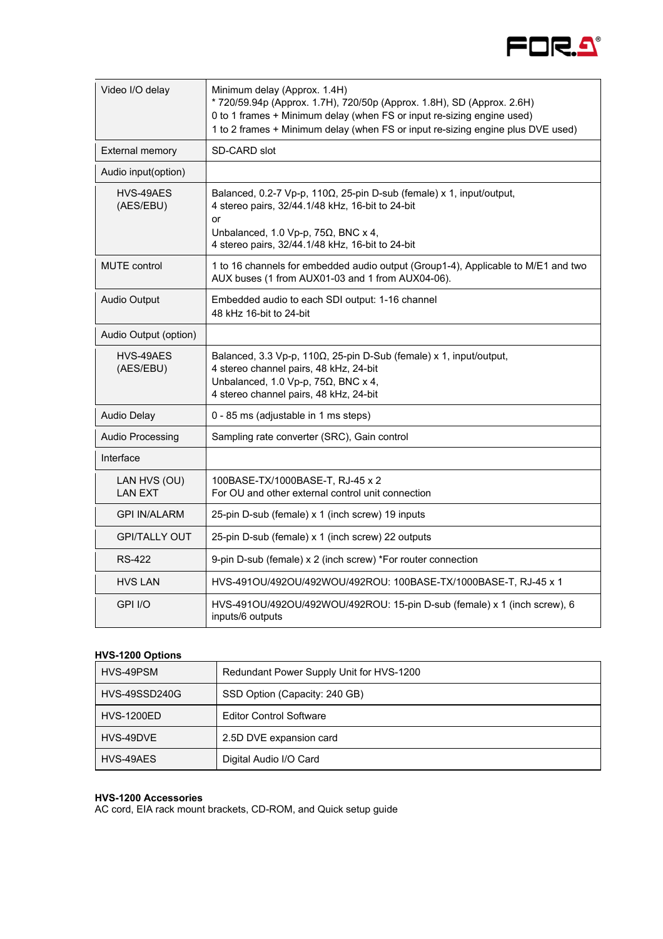

| Video I/O delay                | Minimum delay (Approx. 1.4H)<br>* 720/59.94p (Approx. 1.7H), 720/50p (Approx. 1.8H), SD (Approx. 2.6H)<br>0 to 1 frames + Minimum delay (when FS or input re-sizing engine used)<br>1 to 2 frames + Minimum delay (when FS or input re-sizing engine plus DVE used) |
|--------------------------------|---------------------------------------------------------------------------------------------------------------------------------------------------------------------------------------------------------------------------------------------------------------------|
| <b>External memory</b>         | SD-CARD slot                                                                                                                                                                                                                                                        |
| Audio input(option)            |                                                                                                                                                                                                                                                                     |
| HVS-49AES<br>(AES/EBU)         | Balanced, 0.2-7 Vp-p, 110 $\Omega$ , 25-pin D-sub (female) x 1, input/output,<br>4 stereo pairs, 32/44.1/48 kHz, 16-bit to 24-bit<br>or<br>Unbalanced, 1.0 Vp-p, 75 $\Omega$ , BNC x 4,<br>4 stereo pairs, 32/44.1/48 kHz, 16-bit to 24-bit                         |
| <b>MUTE</b> control            | 1 to 16 channels for embedded audio output (Group1-4), Applicable to M/E1 and two<br>AUX buses (1 from AUX01-03 and 1 from AUX04-06).                                                                                                                               |
| Audio Output                   | Embedded audio to each SDI output: 1-16 channel<br>48 kHz 16-bit to 24-bit                                                                                                                                                                                          |
| Audio Output (option)          |                                                                                                                                                                                                                                                                     |
| HVS-49AES<br>(AES/EBU)         | Balanced, 3.3 Vp-p, 110Ω, 25-pin D-Sub (female) x 1, input/output,<br>4 stereo channel pairs, 48 kHz, 24-bit<br>Unbalanced, 1.0 Vp-p, 75 $\Omega$ , BNC x 4,<br>4 stereo channel pairs, 48 kHz, 24-bit                                                              |
| <b>Audio Delay</b>             | 0 - 85 ms (adjustable in 1 ms steps)                                                                                                                                                                                                                                |
| <b>Audio Processing</b>        | Sampling rate converter (SRC), Gain control                                                                                                                                                                                                                         |
| Interface                      |                                                                                                                                                                                                                                                                     |
| LAN HVS (OU)<br><b>LAN EXT</b> | 100BASE-TX/1000BASE-T, RJ-45 x 2<br>For OU and other external control unit connection                                                                                                                                                                               |
| <b>GPI IN/ALARM</b>            | 25-pin D-sub (female) x 1 (inch screw) 19 inputs                                                                                                                                                                                                                    |
| <b>GPI/TALLY OUT</b>           | 25-pin D-sub (female) x 1 (inch screw) 22 outputs                                                                                                                                                                                                                   |
| RS-422                         | 9-pin D-sub (female) x 2 (inch screw) *For router connection                                                                                                                                                                                                        |
| <b>HVS LAN</b>                 | HVS-491OU/492OU/492WOU/492ROU: 100BASE-TX/1000BASE-T, RJ-45 x 1                                                                                                                                                                                                     |
| GPI I/O                        | HVS-491OU/492OU/492WOU/492ROU: 15-pin D-sub (female) x 1 (inch screw), 6<br>inputs/6 outputs                                                                                                                                                                        |

# **HVS-1200 Options**

| HVS-49PSM            | Redundant Power Supply Unit for HVS-1200 |
|----------------------|------------------------------------------|
| <b>HVS-49SSD240G</b> | SSD Option (Capacity: 240 GB)            |
| <b>HVS-1200ED</b>    | <b>Editor Control Software</b>           |
| HVS-49DVE            | 2.5D DVE expansion card                  |
| HVS-49AES            | Digital Audio I/O Card                   |

#### **HVS-1200 Accessories**

AC cord, EIA rack mount brackets, CD-ROM, and Quick setup guide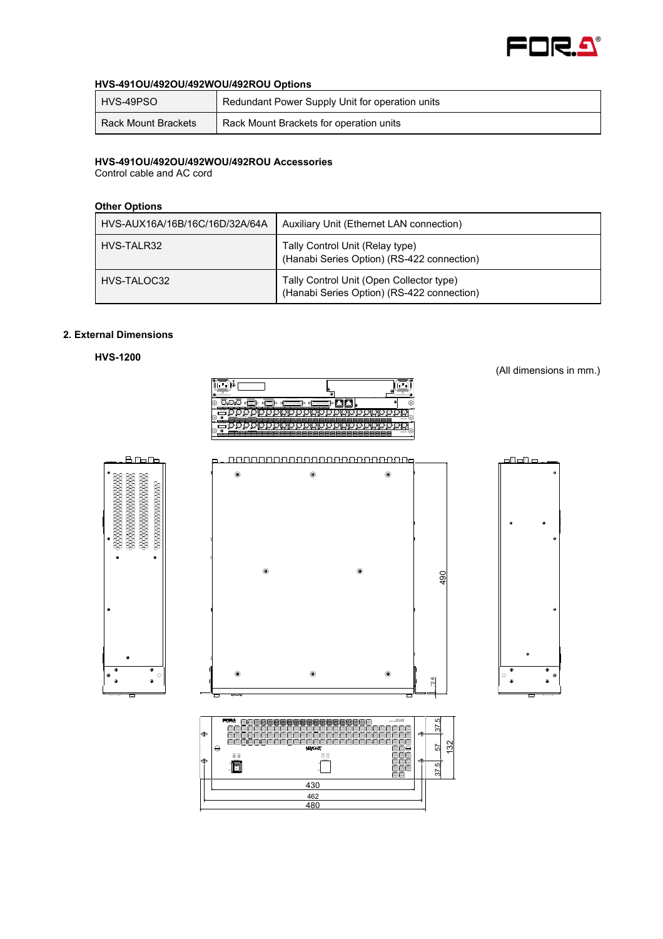

#### **HVS-491OU/492OU/492WOU/492ROU Options**

| HVS-49PSO           | Redundant Power Supply Unit for operation units |
|---------------------|-------------------------------------------------|
| Rack Mount Brackets | Rack Mount Brackets for operation units         |

#### **HVS-491OU/492OU/492WOU/492ROU Accessories**

Control cable and AC cord

## **Other Options**

| HVS-AUX16A/16B/16C/16D/32A/64A | Auxiliary Unit (Ethernet LAN connection)                                               |
|--------------------------------|----------------------------------------------------------------------------------------|
| HVS-TALR32                     | Tally Control Unit (Relay type)<br>(Hanabi Series Option) (RS-422 connection)          |
| HVS-TALOC32                    | Tally Control Unit (Open Collector type)<br>(Hanabi Series Option) (RS-422 connection) |

# **2. External Dimensions**

**HVS-1200** 



(All dimensions in mm.)

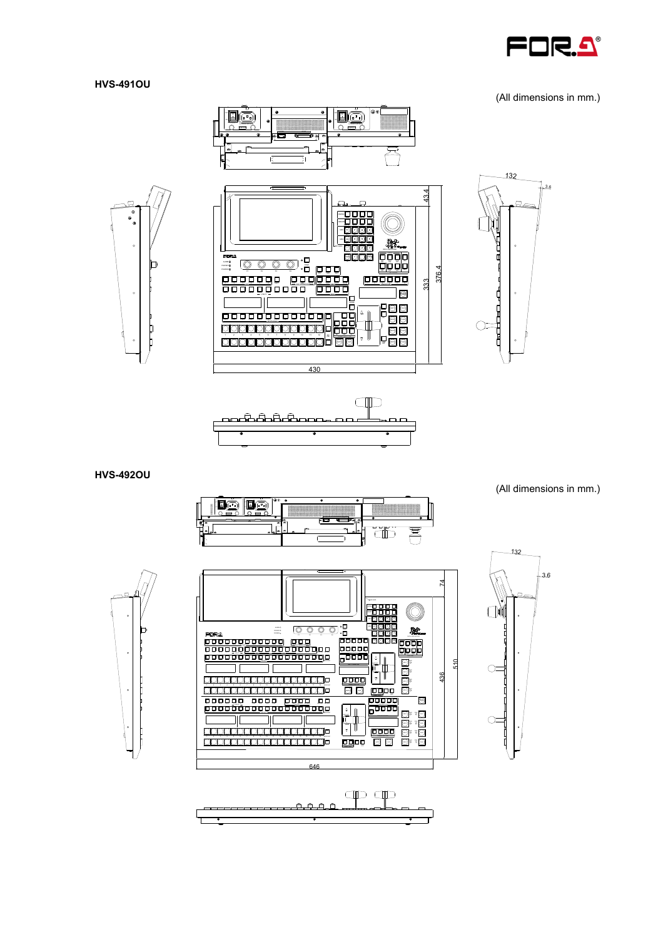

#### **HVS-491OU**

(All dimensions in mm.)







**HVS-492OU** 











(All dimensions in mm.)